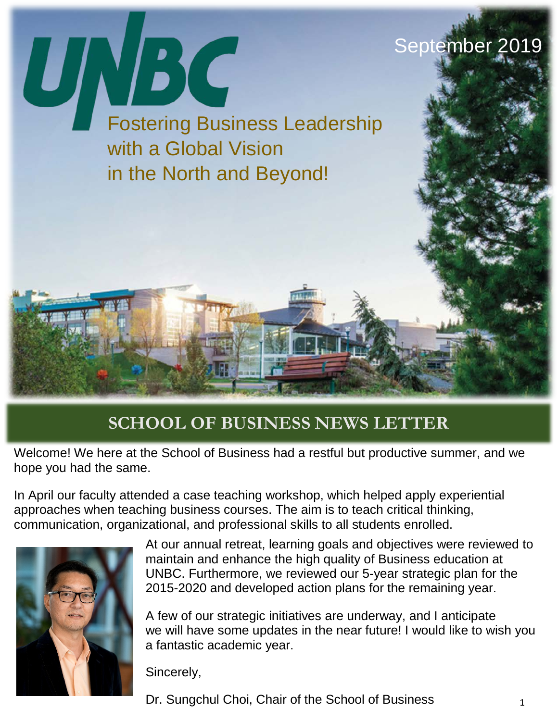

#### **SCHOOL OF BUSINESS NEWS LETTER**

Welcome! We here at the School of Business had a restful but productive summer, and we hope you had the same.

In April our faculty attended a case teaching workshop, which helped apply experiential approaches when teaching business courses. The aim is to teach critical thinking, communication, organizational, and professional skills to all students enrolled.



At our annual retreat, learning goals and objectives were reviewed to maintain and enhance the high quality of Business education at UNBC. Furthermore, we reviewed our 5-year strategic plan for the 2015-2020 and developed action plans for the remaining year.

A few of our strategic initiatives are underway, and I anticipate we will have some updates in the near future! I would like to wish you a fantastic academic year.

Sincerely,

Dr. Sungchul Choi, Chair of the School of Business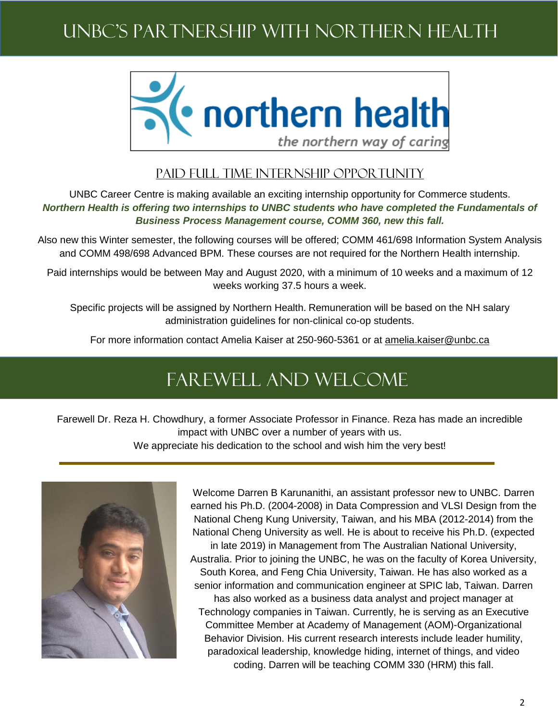# UNBC'S PARTNERSHIP WITH NORTHERN HEALTH



#### PAID FULL TIME INTERNSHIP OPPORTUNITY

UNBC Career Centre is making available an exciting internship opportunity for Commerce students. *Northern Health is offering two internships to UNBC students who have completed the Fundamentals of Business Process Management course, COMM 360, new this fall.*

Also new this Winter semester, the following courses will be offered; COMM 461/698 Information System Analysis and COMM 498/698 Advanced BPM. These courses are not required for the Northern Health internship.

Paid internships would be between May and August 2020, with a minimum of 10 weeks and a maximum of 12 weeks working 37.5 hours a week.

Specific projects will be assigned by Northern Health. Remuneration will be based on the NH salary administration guidelines for non-clinical co-op students.

For more information contact Amelia Kaiser at 250-960-5361 or at [amelia.kaiser@unbc.ca](mailto:amelia.kaiser@unbc.ca)

## Farewell and welcome

Farewell Dr. Reza H. Chowdhury, a former Associate Professor in Finance. Reza has made an incredible impact with UNBC over a number of years with us. We appreciate his dedication to the school and wish him the very best!



Welcome Darren B Karunanithi, an assistant professor new to UNBC. Darren earned his Ph.D. (2004-2008) in Data Compression and VLSI Design from the National Cheng Kung University, Taiwan, and his MBA (2012-2014) from the National Cheng University as well. He is about to receive his Ph.D. (expected in late 2019) in Management from The Australian National University, Australia. Prior to joining the UNBC, he was on the faculty of Korea University, South Korea, and Feng Chia University, Taiwan. He has also worked as a senior information and communication engineer at SPIC lab, Taiwan. Darren has also worked as a business data analyst and project manager at Technology companies in Taiwan. Currently, he is serving as an Executive Committee Member at Academy of Management (AOM)-Organizational Behavior Division. His current research interests include leader humility, paradoxical leadership, knowledge hiding, internet of things, and video coding. Darren will be teaching COMM 330 (HRM) this fall.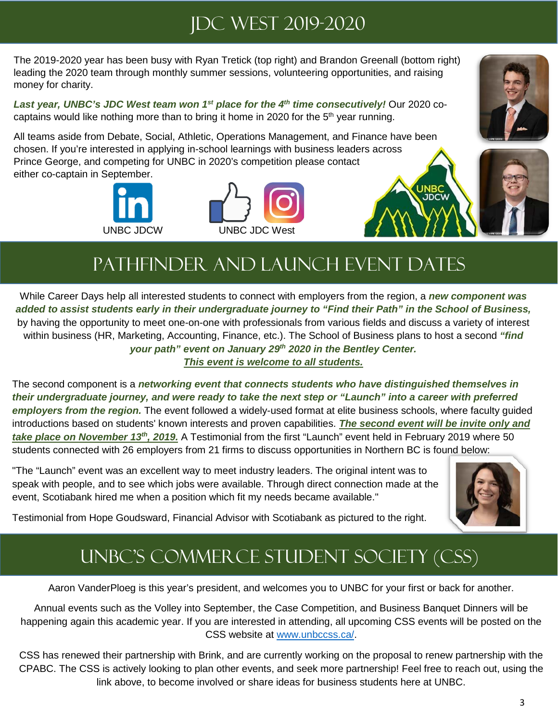## JDC West 2019-2020

The 2019-2020 year has been busy with Ryan Tretick (top right) and Brandon Greenall (bottom right) leading the 2020 team through monthly summer sessions, volunteering opportunities, and raising money for charity.

*Last year, UNBC's JDC West team won 1st place for the 4th time consecutively!* Our 2020 cocaptains would like nothing more than to bring it home in 2020 for the 5<sup>th</sup> year running.

All teams aside from Debate, Social, Athletic, Operations Management, and Finance have been chosen. If you're interested in applying in-school learnings with business leaders across Prince George, and competing for UNBC in 2020's competition please contact either co-captain in September.







# Pathfinder and Launch event dates

While Career Days help all interested students to connect with employers from the region, a *new component was added to assist students early in their undergraduate journey to "Find their Path" in the School of Business,*  by having the opportunity to meet one-on-one with professionals from various fields and discuss a variety of interest within business (HR, Marketing, Accounting, Finance, etc.). The School of Business plans to host a second *"find your path" event on January 29th 2020 in the Bentley Center. This event is welcome to all students.*

The second component is a *networking event that connects students who have distinguished themselves in their undergraduate journey, and were ready to take the next step or "Launch" into a career with preferred employers from the region.* The event followed a widely-used format at elite business schools, where faculty guided introductions based on students' known interests and proven capabilities. *The second event will be invite only and take place on November 13th, 2019.* A Testimonial from the first "Launch" event held in February 2019 where 50 students connected with 26 employers from 21 firms to discuss opportunities in Northern BC is found below:

"The "Launch" event was an excellent way to meet industry leaders. The original intent was to speak with people, and to see which jobs were available. Through direct connection made at the event, Scotiabank hired me when a position which fit my needs became available."



Testimonial from Hope Goudsward, Financial Advisor with Scotiabank as pictured to the right.

## UNBC's Commerce Student Society (CSS)

Aaron VanderPloeg is this year's president, and welcomes you to UNBC for your first or back for another.

Annual events such as the Volley into September, the Case Competition, and Business Banquet Dinners will be happening again this academic year. If you are interested in attending, all upcoming CSS events will be posted on the CSS website at [www.unbccss.ca/.](http://www.unbccss.ca/)

CSS has renewed their partnership with Brink, and are currently working on the proposal to renew partnership with the CPABC. The CSS is actively looking to plan other events, and seek more partnership! Feel free to reach out, using the link above, to become involved or share ideas for business students here at UNBC.